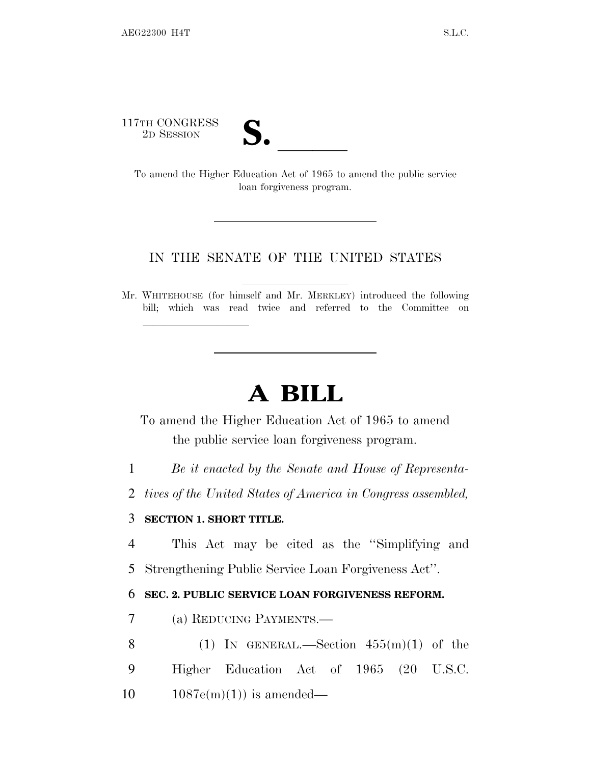117TH CONGRESS



TTH CONGRESS<br>
2D SESSION<br>
To amend the Higher Education Act of 1965 to amend the public service loan forgiveness program.

## IN THE SENATE OF THE UNITED STATES

Mr. WHITEHOUSE (for himself and Mr. MERKLEY) introduced the following bill; which was read twice and referred to the Committee on

## **A BILL**

To amend the Higher Education Act of 1965 to amend the public service loan forgiveness program.

1 *Be it enacted by the Senate and House of Representa-*

2 *tives of the United States of America in Congress assembled,*

## 3 **SECTION 1. SHORT TITLE.**

lla se al consegue de la consegue de la consegue de la consegue de la consegue de la consegue de la consegue d<br>La consegue de la consegue de la consegue de la consegue de la consegue de la consegue de la consegue de la co

4 This Act may be cited as the ''Simplifying and 5 Strengthening Public Service Loan Forgiveness Act''.

## 6 **SEC. 2. PUBLIC SERVICE LOAN FORGIVENESS REFORM.**

- 7 (a) REDUCING PAYMENTS.—
- 8 (1) IN GENERAL.—Section  $455(m)(1)$  of the 9 Higher Education Act of 1965 (20 U.S.C.  $10 \t 1087e(m)(1)$  is amended—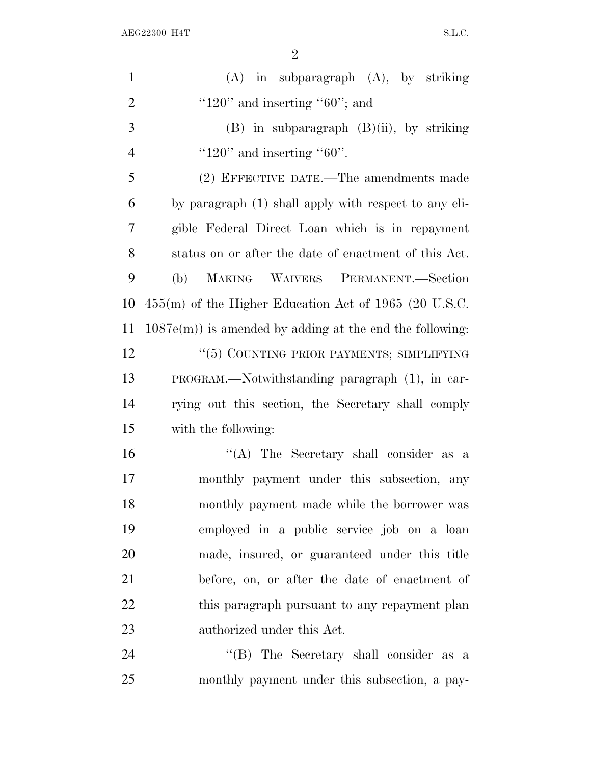| $\mathbf{1}$   | $(A)$ in subparagraph $(A)$ , by striking                   |
|----------------|-------------------------------------------------------------|
| $\overline{2}$ | " $120$ " and inserting " $60$ "; and                       |
| 3              | $(B)$ in subparagraph $(B)(ii)$ , by striking               |
| $\overline{4}$ | " $120$ " and inserting " $60$ ".                           |
| 5              | (2) EFFECTIVE DATE.—The amendments made                     |
| 6              | by paragraph (1) shall apply with respect to any eli-       |
| 7              | gible Federal Direct Loan which is in repayment             |
| 8              | status on or after the date of enactment of this Act.       |
| 9              | MAKING WAIVERS PERMANENT.-Section<br>(b)                    |
| 10             | $455(m)$ of the Higher Education Act of 1965 (20 U.S.C.     |
| 11             | $1087e(m)$ ) is amended by adding at the end the following: |
| 12             | "(5) COUNTING PRIOR PAYMENTS; SIMPLIFYING                   |
| 13             | PROGRAM.—Notwithstanding paragraph (1), in car-             |
| 14             | rying out this section, the Secretary shall comply          |
| 15             | with the following:                                         |
| 16             | "(A) The Secretary shall consider as a                      |
| 17             | monthly payment under this subsection, any                  |
| 18             | monthly payment made while the borrower was                 |
| 19             | employed in a public service job on a loan                  |
| 20             | made, insured, or guaranteed under this title               |
| 21             | before, on, or after the date of enactment of               |
| 22             | this paragraph pursuant to any repayment plan               |
| 23             | authorized under this Act.                                  |
| 24             | "(B) The Secretary shall consider as a                      |
| 25             | monthly payment under this subsection, a pay-               |